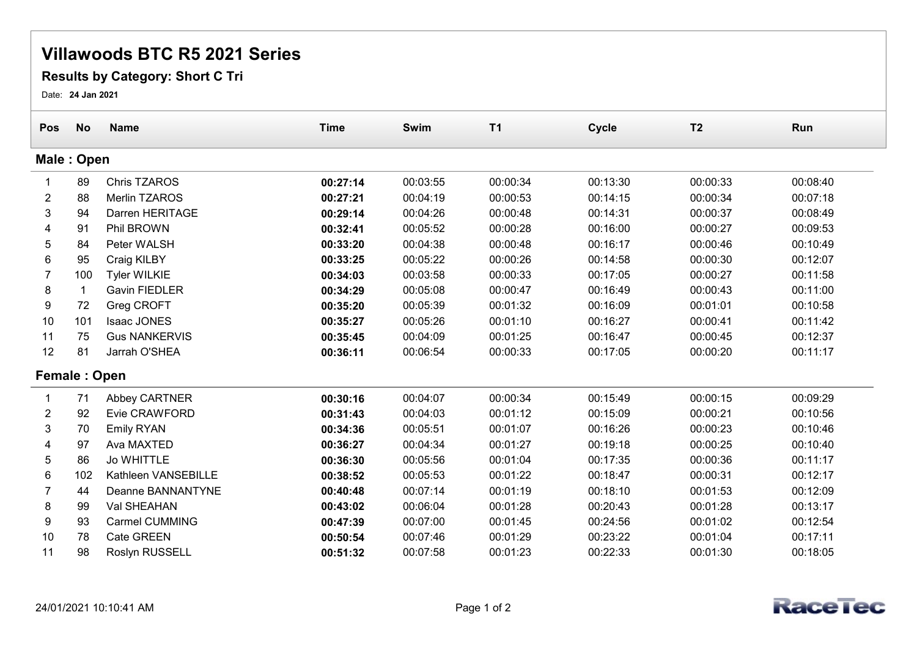## Villawoods BTC R5 2021 Series

## Results by Category: Short C Tri

Date: 24 Jan 2021

| Pos            | <b>No</b> | <b>Name</b>           | <b>Time</b> | Swim     | <b>T1</b> | <b>Cycle</b> | T <sub>2</sub> | Run      |  |  |  |  |
|----------------|-----------|-----------------------|-------------|----------|-----------|--------------|----------------|----------|--|--|--|--|
| Male: Open     |           |                       |             |          |           |              |                |          |  |  |  |  |
|                | 89        | <b>Chris TZAROS</b>   | 00:27:14    | 00:03:55 | 00:00:34  | 00:13:30     | 00:00:33       | 00:08:40 |  |  |  |  |
| 2              | 88        | Merlin TZAROS         | 00:27:21    | 00:04:19 | 00:00:53  | 00:14:15     | 00:00:34       | 00:07:18 |  |  |  |  |
| 3              | 94        | Darren HERITAGE       | 00:29:14    | 00:04:26 | 00:00:48  | 00:14:31     | 00:00:37       | 00:08:49 |  |  |  |  |
|                | 91        | Phil BROWN            | 00:32:41    | 00:05:52 | 00:00:28  | 00:16:00     | 00:00:27       | 00:09:53 |  |  |  |  |
| 5              | 84        | Peter WALSH           | 00:33:20    | 00:04:38 | 00:00:48  | 00:16:17     | 00:00:46       | 00:10:49 |  |  |  |  |
| 6              | 95        | Craig KILBY           | 00:33:25    | 00:05:22 | 00:00:26  | 00:14:58     | 00:00:30       | 00:12:07 |  |  |  |  |
|                | 100       | <b>Tyler WILKIE</b>   | 00:34:03    | 00:03:58 | 00:00:33  | 00:17:05     | 00:00:27       | 00:11:58 |  |  |  |  |
| 8              | -1        | Gavin FIEDLER         | 00:34:29    | 00:05:08 | 00:00:47  | 00:16:49     | 00:00:43       | 00:11:00 |  |  |  |  |
| 9              | 72        | Greg CROFT            | 00:35:20    | 00:05:39 | 00:01:32  | 00:16:09     | 00:01:01       | 00:10:58 |  |  |  |  |
| 10             | 101       | Isaac JONES           | 00:35:27    | 00:05:26 | 00:01:10  | 00:16:27     | 00:00:41       | 00:11:42 |  |  |  |  |
| 11             | 75        | <b>Gus NANKERVIS</b>  | 00:35:45    | 00:04:09 | 00:01:25  | 00:16:47     | 00:00:45       | 00:12:37 |  |  |  |  |
| 12             | 81        | Jarrah O'SHEA         | 00:36:11    | 00:06:54 | 00:00:33  | 00:17:05     | 00:00:20       | 00:11:17 |  |  |  |  |
| Female: Open   |           |                       |             |          |           |              |                |          |  |  |  |  |
|                | 71        | Abbey CARTNER         | 00:30:16    | 00:04:07 | 00:00:34  | 00:15:49     | 00:00:15       | 00:09:29 |  |  |  |  |
| $\overline{2}$ | 92        | Evie CRAWFORD         | 00:31:43    | 00:04:03 | 00:01:12  | 00:15:09     | 00:00:21       | 00:10:56 |  |  |  |  |
| 3              | 70        | <b>Emily RYAN</b>     | 00:34:36    | 00:05:51 | 00:01:07  | 00:16:26     | 00:00:23       | 00:10:46 |  |  |  |  |
| 4              | 97        | Ava MAXTED            | 00:36:27    | 00:04:34 | 00:01:27  | 00:19:18     | 00:00:25       | 00:10:40 |  |  |  |  |
| 5              | 86        | <b>Jo WHITTLE</b>     | 00:36:30    | 00:05:56 | 00:01:04  | 00:17:35     | 00:00:36       | 00:11:17 |  |  |  |  |
| 6              | 102       | Kathleen VANSEBILLE   | 00:38:52    | 00:05:53 | 00:01:22  | 00:18:47     | 00:00:31       | 00:12:17 |  |  |  |  |
|                | 44        | Deanne BANNANTYNE     | 00:40:48    | 00:07:14 | 00:01:19  | 00:18:10     | 00:01:53       | 00:12:09 |  |  |  |  |
| 8              | 99        | Val SHEAHAN           | 00:43:02    | 00:06:04 | 00:01:28  | 00:20:43     | 00:01:28       | 00:13:17 |  |  |  |  |
| 9              | 93        | <b>Carmel CUMMING</b> | 00:47:39    | 00:07:00 | 00:01:45  | 00:24:56     | 00:01:02       | 00:12:54 |  |  |  |  |
| 10             | 78        | Cate GREEN            | 00:50:54    | 00:07:46 | 00:01:29  | 00:23:22     | 00:01:04       | 00:17:11 |  |  |  |  |
| 11             | 98        | <b>Roslyn RUSSELL</b> | 00:51:32    | 00:07:58 | 00:01:23  | 00:22:33     | 00:01:30       | 00:18:05 |  |  |  |  |